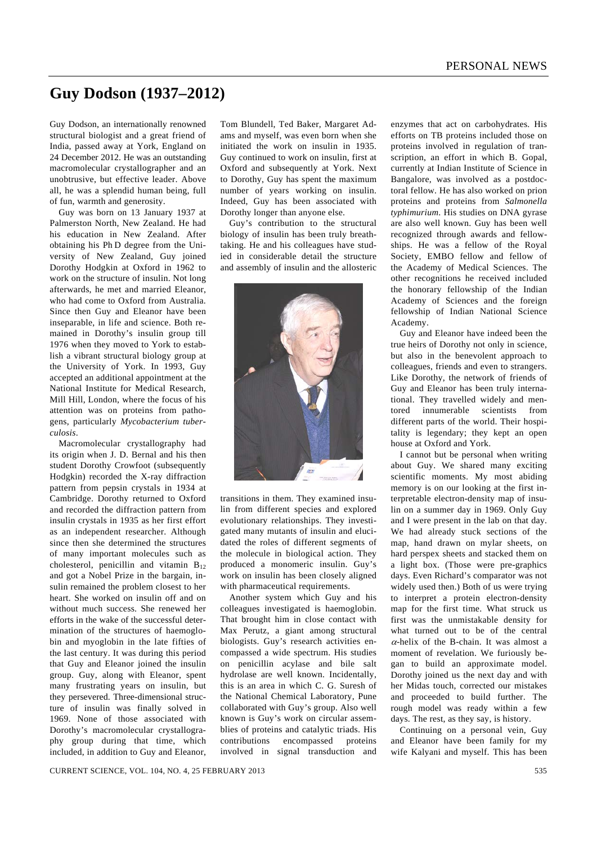## **Guy Dodson (1937–2012)**

Guy Dodson, an internationally renowned structural biologist and a great friend of India, passed away at York, England on 24 December 2012. He was an outstanding macromolecular crystallographer and an unobtrusive, but effective leader. Above all, he was a splendid human being, full of fun, warmth and generosity.

 Guy was born on 13 January 1937 at Palmerston North, New Zealand. He had his education in New Zealand. After obtaining his Ph D degree from the University of New Zealand, Guy joined Dorothy Hodgkin at Oxford in 1962 to work on the structure of insulin. Not long afterwards, he met and married Eleanor, who had come to Oxford from Australia. Since then Guy and Eleanor have been inseparable, in life and science. Both remained in Dorothy's insulin group till 1976 when they moved to York to establish a vibrant structural biology group at the University of York. In 1993, Guy accepted an additional appointment at the National Institute for Medical Research, Mill Hill, London, where the focus of his attention was on proteins from pathogens, particularly *Mycobacterium tuberculosis*.

 Macromolecular crystallography had its origin when J. D. Bernal and his then student Dorothy Crowfoot (subsequently Hodgkin) recorded the X-ray diffraction pattern from pepsin crystals in 1934 at Cambridge. Dorothy returned to Oxford and recorded the diffraction pattern from insulin crystals in 1935 as her first effort as an independent researcher. Although since then she determined the structures of many important molecules such as cholesterol, penicillin and vitamin  $B_{12}$ and got a Nobel Prize in the bargain, insulin remained the problem closest to her heart. She worked on insulin off and on without much success. She renewed her efforts in the wake of the successful determination of the structures of haemoglobin and myoglobin in the late fifties of the last century. It was during this period that Guy and Eleanor joined the insulin group. Guy, along with Eleanor, spent many frustrating years on insulin, but they persevered. Three-dimensional structure of insulin was finally solved in 1969. None of those associated with Dorothy's macromolecular crystallography group during that time, which included, in addition to Guy and Eleanor,

Tom Blundell, Ted Baker, Margaret Adams and myself, was even born when she initiated the work on insulin in 1935. Guy continued to work on insulin, first at Oxford and subsequently at York. Next to Dorothy, Guy has spent the maximum number of years working on insulin. Indeed, Guy has been associated with Dorothy longer than anyone else.

 Guy's contribution to the structural biology of insulin has been truly breathtaking. He and his colleagues have studied in considerable detail the structure and assembly of insulin and the allosteric



transitions in them. They examined insulin from different species and explored evolutionary relationships. They investigated many mutants of insulin and elucidated the roles of different segments of the molecule in biological action. They produced a monomeric insulin. Guy's work on insulin has been closely aligned with pharmaceutical requirements.

 Another system which Guy and his colleagues investigated is haemoglobin. That brought him in close contact with Max Perutz, a giant among structural biologists. Guy's research activities encompassed a wide spectrum. His studies on penicillin acylase and bile salt hydrolase are well known. Incidentally, this is an area in which C. G. Suresh of the National Chemical Laboratory, Pune collaborated with Guy's group. Also well known is Guy's work on circular assemblies of proteins and catalytic triads. His contributions encompassed proteins involved in signal transduction and enzymes that act on carbohydrates. His efforts on TB proteins included those on proteins involved in regulation of transcription, an effort in which B. Gopal, currently at Indian Institute of Science in Bangalore, was involved as a postdoctoral fellow. He has also worked on prion proteins and proteins from *Salmonella typhimurium*. His studies on DNA gyrase are also well known. Guy has been well recognized through awards and fellowships. He was a fellow of the Royal Society, EMBO fellow and fellow of the Academy of Medical Sciences. The other recognitions he received included the honorary fellowship of the Indian Academy of Sciences and the foreign fellowship of Indian National Science Academy.

 Guy and Eleanor have indeed been the true heirs of Dorothy not only in science, but also in the benevolent approach to colleagues, friends and even to strangers. Like Dorothy, the network of friends of Guy and Eleanor has been truly international. They travelled widely and mentored innumerable scientists from different parts of the world. Their hospitality is legendary; they kept an open house at Oxford and York.

 I cannot but be personal when writing about Guy. We shared many exciting scientific moments. My most abiding memory is on our looking at the first interpretable electron-density map of insulin on a summer day in 1969. Only Guy and I were present in the lab on that day. We had already stuck sections of the map, hand drawn on mylar sheets, on hard perspex sheets and stacked them on a light box. (Those were pre-graphics days. Even Richard's comparator was not widely used then.) Both of us were trying to interpret a protein electron-density map for the first time. What struck us first was the unmistakable density for what turned out to be of the central  $\alpha$ -helix of the B-chain. It was almost a moment of revelation. We furiously began to build an approximate model. Dorothy joined us the next day and with her Midas touch, corrected our mistakes and proceeded to build further. The rough model was ready within a few days. The rest, as they say, is history.

 Continuing on a personal vein, Guy and Eleanor have been family for my wife Kalyani and myself. This has been

CURRENT SCIENCE, VOL. 104, NO. 4, 25 FEBRUARY 2013 535